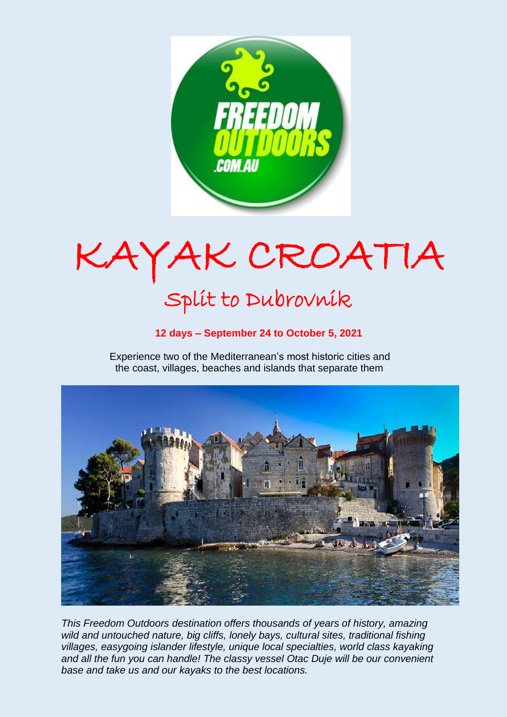

KAYAK CROATIA

# Split to Dubrovnik

# **12 days – September 24 to October 5, 2021**

 Experience two of the Mediterranean's most historic cities and the coast, villages, beaches and islands that separate them



*This Freedom Outdoors destination offers thousands of years of history, amazing wild and untouched nature, big cliffs, lonely bays, cultural sites, traditional fishing villages, easygoing islander lifestyle, unique local specialties, world class kayaking and all the fun you can handle! The classy vessel Otac Duje will be our convenient base and take us and our kayaks to the best locations.*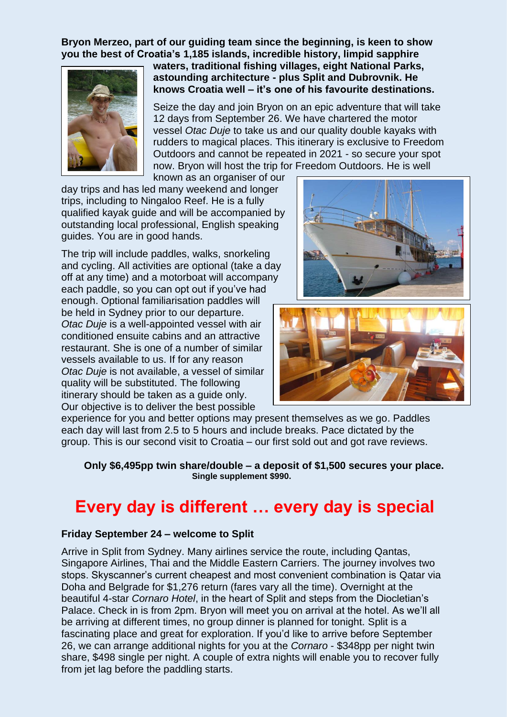**Bryon Merzeo, part of our guiding team since the beginning, is keen to show you the best of Croatia's 1,185 islands, incredible history, limpid sapphire** 



**waters, traditional fishing villages, eight National Parks, astounding architecture - plus Split and Dubrovnik. He knows Croatia well – it's one of his favourite destinations.**

Seize the day and join Bryon on an epic adventure that will take 12 days from September 26. We have chartered the motor vessel *Otac Duje* to take us and our quality double kayaks with rudders to magical places. This itinerary is exclusive to Freedom Outdoors and cannot be repeated in 2021 - so secure your spot now. Bryon will host the trip for Freedom Outdoors. He is well

known as an organiser of our

day trips and has led many weekend and longer trips, including to Ningaloo Reef. He is a fully qualified kayak guide and will be accompanied by outstanding local professional, English speaking guides. You are in good hands.

The trip will include paddles, walks, snorkeling and cycling. All activities are optional (take a day off at any time) and a motorboat will accompany each paddle, so you can opt out if you've had enough. Optional familiarisation paddles will be held in Sydney prior to our departure. *Otac Duje* is a well-appointed vessel with air conditioned ensuite cabins and an attractive restaurant. She is one of a number of similar vessels available to us. If for any reason *Otac Duje* is not available, a vessel of similar quality will be substituted. The following itinerary should be taken as a guide only. Our objective is to deliver the best possible





experience for you and better options may present themselves as we go. Paddles each day will last from 2.5 to 5 hours and include breaks. Pace dictated by the group. This is our second visit to Croatia – our first sold out and got rave reviews.

 **Only \$6,495pp twin share/double – a deposit of \$1,500 secures your place. Single supplement \$990.**

# **Every day is different … every day is special**

## **Friday September 24 – welcome to Split**

Arrive in Split from Sydney. Many airlines service the route, including Qantas, Singapore Airlines, Thai and the Middle Eastern Carriers. The journey involves two stops. Skyscanner's current cheapest and most convenient combination is Qatar via Doha and Belgrade for \$1,276 return (fares vary all the time). Overnight at the beautiful 4-star *Cornaro Hotel*, in the heart of Split and steps from the Diocletian's Palace. Check in is from 2pm. Bryon will meet you on arrival at the hotel. As we'll all be arriving at different times, no group dinner is planned for tonight. Split is a fascinating place and great for exploration. If you'd like to arrive before September 26, we can arrange additional nights for you at the *Cornaro* - \$348pp per night twin share, \$498 single per night. A couple of extra nights will enable you to recover fully from jet lag before the paddling starts.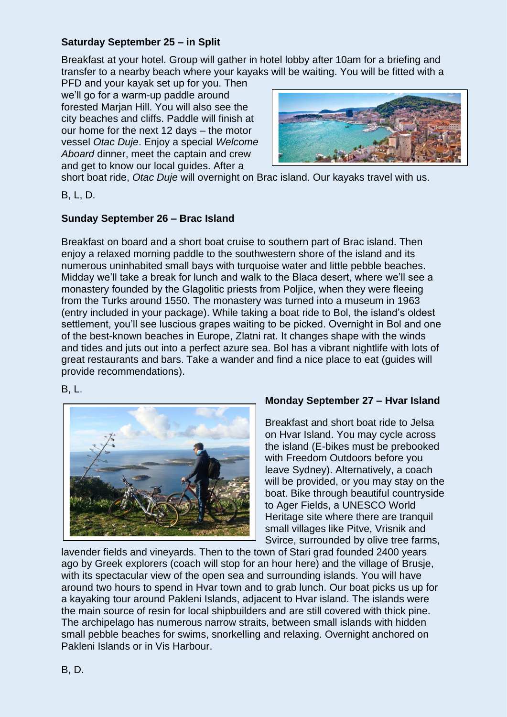## **Saturday September 25 – in Split**

Breakfast at your hotel. Group will gather in hotel lobby after 10am for a briefing and transfer to a nearby beach where your kayaks will be waiting. You will be fitted with a

PFD and your kayak set up for you. Then we'll go for a warm-up paddle around forested Marjan Hill. You will also see the city beaches and cliffs. Paddle will finish at our home for the next 12 days – the motor vessel *Otac Duje*. Enjoy a special *Welcome Aboard* dinner, meet the captain and crew and get to know our local guides. After a



short boat ride, *Otac Duje* will overnight on Brac island. Our kayaks travel with us.

B, L, D.

# **Sunday September 26 – Brac Island**

Breakfast on board and a short boat cruise to southern part of Brac island. Then enjoy a relaxed morning paddle to the southwestern shore of the island and its numerous uninhabited small bays with turquoise water and little pebble beaches. Midday we'll take a break for lunch and walk to the Blaca desert, where we'll see a monastery founded by the Glagolitic priests from Poljice, when they were fleeing from the Turks around 1550. The monastery was turned into a museum in 1963 (entry included in your package). While taking a boat ride to Bol, the island's oldest settlement, you'll see luscious grapes waiting to be picked. Overnight in Bol and one of the best-known beaches in Europe, Zlatni rat. It changes shape with the winds and tides and juts out into a perfect azure sea. Bol has a vibrant nightlife with lots of great restaurants and bars. Take a wander and find a nice place to eat (guides will provide recommendations).

B, L.



## **Monday September 27 – Hvar Island**

Breakfast and short boat ride to Jelsa on Hvar Island. You may cycle across the island (E-bikes must be prebooked with Freedom Outdoors before you leave Sydney). Alternatively, a coach will be provided, or you may stay on the boat. Bike through beautiful countryside to Ager Fields, a UNESCO World Heritage site where there are tranquil small villages like Pitve, Vrisnik and Svirce, surrounded by olive tree farms,

lavender fields and vineyards. Then to the town of Stari grad founded 2400 years ago by Greek explorers (coach will stop for an hour here) and the village of Brusje, with its spectacular view of the open sea and surrounding islands. You will have around two hours to spend in Hvar town and to grab lunch. Our boat picks us up for a kayaking tour around Pakleni Islands, adjacent to Hvar island. The islands were the main source of resin for local shipbuilders and are still covered with thick pine. The archipelago has numerous narrow straits, between small islands with hidden small pebble beaches for swims, snorkelling and relaxing. Overnight anchored on Pakleni Islands or in Vis Harbour.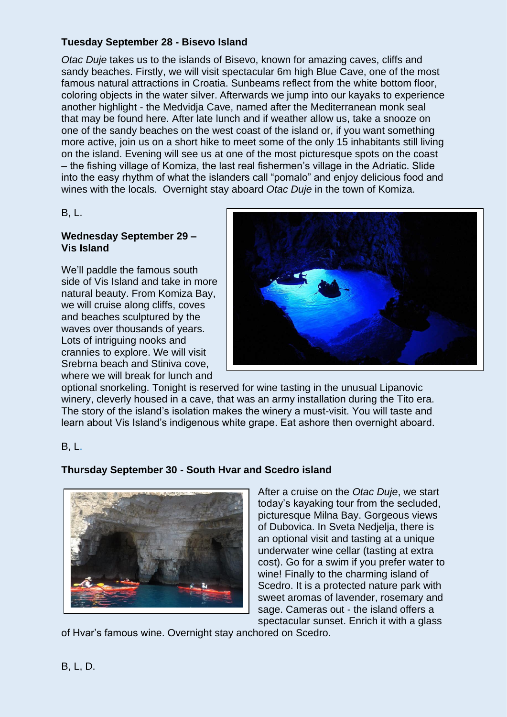### **Tuesday September 28 - Bisevo Island**

*Otac Duje* takes us to the islands of Bisevo, known for amazing caves, cliffs and sandy beaches. Firstly, we will visit spectacular 6m high Blue Cave, one of the most famous natural attractions in Croatia. Sunbeams reflect from the white bottom floor, coloring objects in the water silver. Afterwards we jump into our kayaks to experience another highlight - the Medvidja Cave, named after the Mediterranean monk seal that may be found here. After late lunch and if weather allow us, take a snooze on one of the sandy beaches on the west coast of the island or, if you want something more active, join us on a short hike to meet some of the only 15 inhabitants still living on the island. Evening will see us at one of the most picturesque spots on the coast – the fishing village of Komiza, the last real fishermen's village in the Adriatic. Slide into the easy rhythm of what the islanders call "pomalo" and enjoy delicious food and wines with the locals. Overnight stay aboard *Otac Duje* in the town of Komiza.

#### B, L.

#### **Wednesday September 29 – Vis Island**

We'll paddle the famous south side of Vis Island and take in more natural beauty. From Komiza Bay, we will cruise along cliffs, coves and beaches sculptured by the waves over thousands of years. Lots of intriguing nooks and crannies to explore. We will visit Srebrna beach and Stiniva cove, where we will break for lunch and



optional snorkeling. Tonight is reserved for wine tasting in the unusual Lipanovic winery, cleverly housed in a cave, that was an army installation during the Tito era. The story of the island's isolation makes the winery a must-visit. You will taste and learn about Vis Island's indigenous white grape. Eat ashore then overnight aboard.

B, L.

## **Thursday September 30 - South Hvar and Scedro island**



After a cruise on the *Otac Duje*, we start today's kayaking tour from the secluded, picturesque Milna Bay. Gorgeous views of Dubovica. In Sveta Nedjelja, there is an optional visit and tasting at a unique underwater wine cellar (tasting at extra cost). Go for a swim if you prefer water to wine! Finally to the charming island of Scedro. It is a protected nature park with sweet aromas of lavender, rosemary and sage. Cameras out - the island offers a spectacular sunset. Enrich it with a glass

of Hvar's famous wine. Overnight stay anchored on Scedro.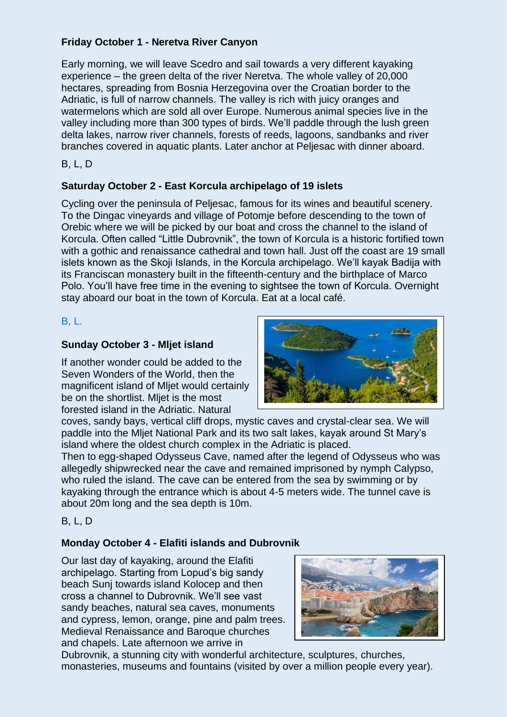## **Friday October 1 - Neretva River Canyon**

Early morning, we will leave Scedro and sail towards a very different kayaking experience – the green delta of the river Neretva. The whole valley of 20,000 hectares, spreading from Bosnia Herzegovina over the Croatian border to the Adriatic, is full of narrow channels. The valley is rich with juicy oranges and watermelons which are sold all over Europe. Numerous animal species live in the valley including more than 300 types of birds. We'll paddle through the lush green delta lakes, narrow river channels, forests of reeds, lagoons, sandbanks and river branches covered in aquatic plants. Later anchor at Peljesac with dinner aboard.

B, L, D

## **Saturday October 2 - East Korcula archipelago of 19 islets**

Cycling over the peninsula of Peljesac, famous for its wines and beautiful scenery. To the Dingac vineyards and village of Potomje before descending to the town of Orebic where we will be picked by our boat and cross the channel to the island of Korcula. Often called "Little Dubrovnik", the town of Korcula is a historic fortified town with a gothic and renaissance cathedral and town hall. Just off the coast are 19 small islets known as the Skoji Islands, in the Korcula archipelago. We'll kayak Badija with its Franciscan monastery built in the fifteenth-century and the birthplace of Marco Polo. You'll have free time in the evening to sightsee the town of Korcula. Overnight stay aboard our boat in the town of Korcula. Eat at a local café.

## B, L.

## **Sunday October 3 - Mljet island**

If another wonder could be added to the Seven Wonders of the World, then the magnificent island of Mljet would certainly be on the shortlist. Mliet is the most forested island in the Adriatic. Natural



coves, sandy bays, vertical cliff drops, mystic caves and crystal-clear sea. We will paddle into the Mljet National Park and its two salt lakes, kayak around St Mary's island where the oldest church complex in the Adriatic is placed.

Then to egg-shaped Odysseus Cave, named after the legend of Odysseus who was allegedly shipwrecked near the cave and remained imprisoned by nymph Calypso, who ruled the island. The cave can be entered from the sea by swimming or by kayaking through the entrance which is about 4-5 meters wide. The tunnel cave is about 20m long and the sea depth is 10m.

B, L, D

## **Monday October 4 - Elafiti islands and Dubrovnik**

Our last day of kayaking, around the Elafiti archipelago. Starting from Lopud's big sandy beach Sunj towards island Kolocep and then cross a channel to Dubrovnik. We'll see vast sandy beaches, natural sea caves, monuments and cypress, lemon, orange, pine and palm trees. Medieval Renaissance and Baroque churches and chapels. Late afternoon we arrive in



Dubrovnik, a stunning city with wonderful architecture, sculptures, churches, monasteries, museums and fountains (visited by over a million people every year).